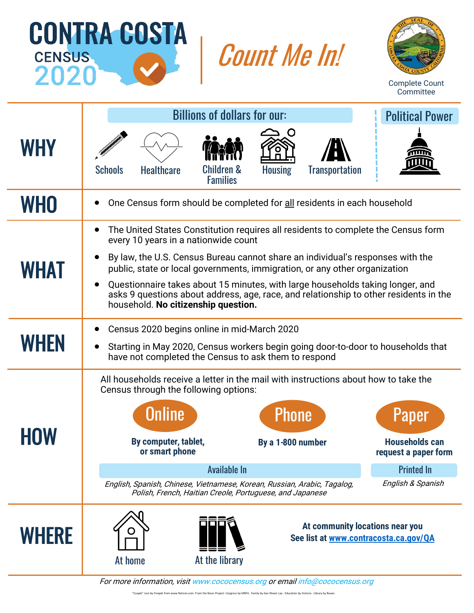





Complete Count Committee

|              |                                                                                                                                                                                                                                                                                                                                                                                                                                                                                                                                                    | <b>Political Power</b>                                  |                                                                                                                                                                                               |                                   |                                 |                                                                                                                                                                                                |  |  |  |  |  |
|--------------|----------------------------------------------------------------------------------------------------------------------------------------------------------------------------------------------------------------------------------------------------------------------------------------------------------------------------------------------------------------------------------------------------------------------------------------------------------------------------------------------------------------------------------------------------|---------------------------------------------------------|-----------------------------------------------------------------------------------------------------------------------------------------------------------------------------------------------|-----------------------------------|---------------------------------|------------------------------------------------------------------------------------------------------------------------------------------------------------------------------------------------|--|--|--|--|--|
| <b>WHY</b>   | <b>Schools</b>                                                                                                                                                                                                                                                                                                                                                                                                                                                                                                                                     | <b>Healthcare</b>                                       | <b>Children &amp;</b><br><b>Families</b>                                                                                                                                                      | <b>Housing</b>                    | <b>Iransportation</b>           |                                                                                                                                                                                                |  |  |  |  |  |
| <b>WHO</b>   | One Census form should be completed for all residents in each household<br>$\bullet$                                                                                                                                                                                                                                                                                                                                                                                                                                                               |                                                         |                                                                                                                                                                                               |                                   |                                 |                                                                                                                                                                                                |  |  |  |  |  |
| <b>WHAT</b>  | The United States Constitution requires all residents to complete the Census form<br>$\bullet$<br>every 10 years in a nationwide count<br>By law, the U.S. Census Bureau cannot share an individual's responses with the<br>$\bullet$<br>public, state or local governments, immigration, or any other organization<br>Questionnaire takes about 15 minutes, with large households taking longer, and<br>$\bullet$<br>asks 9 questions about address, age, race, and relationship to other residents in the<br>household. No citizenship question. |                                                         |                                                                                                                                                                                               |                                   |                                 |                                                                                                                                                                                                |  |  |  |  |  |
| <b>WHEN</b>  | Census 2020 begins online in mid-March 2020<br>Starting in May 2020, Census workers begin going door-to-door to households that<br>$\bullet$<br>have not completed the Census to ask them to respond                                                                                                                                                                                                                                                                                                                                               |                                                         |                                                                                                                                                                                               |                                   |                                 |                                                                                                                                                                                                |  |  |  |  |  |
| <b>HOW</b>   |                                                                                                                                                                                                                                                                                                                                                                                                                                                                                                                                                    | <b>Online</b><br>By computer, tablet,<br>or smart phone | Census through the following options:<br>Available In<br>English, Spanish, Chinese, Vietnamese, Korean, Russian, Arabic, Tagalog,<br>Polish, French, Haitian Creole, Portuguese, and Japanese | <b>Phone</b><br>By a 1-800 number |                                 | All households receive a letter in the mail with instructions about how to take the<br><b>Paper</b><br><b>Households can</b><br>request a paper form<br><b>Printed In</b><br>English & Spanish |  |  |  |  |  |
| <b>WHERE</b> | At home                                                                                                                                                                                                                                                                                                                                                                                                                                                                                                                                            |                                                         | At the library                                                                                                                                                                                |                                   | At community locations near you | See list at www.contracosta.ca.gov/QA                                                                                                                                                          |  |  |  |  |  |

For more information, visit www.cococensus.org or email info@cococensus.org